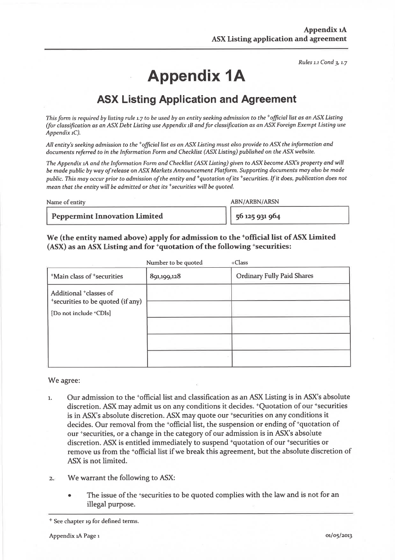Rules 1.1 Cond 3, 1.7

# **Appendix 1A**

## **ASX Listing Application and Agreement**

This form is required by listing rule 1.7 to be used by an entity seeking admission to the  $*$ official list as an ASX Listing (for classification as an ASX Debt Listing use Appendix 1B and for classification as an ASX Foreign Exempt Listing use Appendix  $1C$ ).

All entity's seeking admission to the <sup>+</sup>official list as an ASX Listing must also provide to ASX the information and documents referred to in the Information Form and Checklist (ASX Listing) published on the ASX website.

The Appendix 1A and the Information Form and Checklist (ASX Listing) given to ASX become ASX's property and will be made public by way of release on ASX Markets Announcement Platform. Supporting documents may also be made public. This may occur prior to admission of the entity and <sup>+</sup>quotation of its <sup>+</sup>securities. If it does, publication does not mean that the entity will be admitted or that its <sup>+</sup>securities will be auoted.

Name of entity

**ABN/ARBN/ARSN** 

**Peppermint Innovation Limited** 

56 125 931 964

#### We (the entity named above) apply for admission to the 'official list of ASX Limited (ASX) as an ASX Listing and for <sup>+</sup>quotation of the following <sup>+</sup>securities:

|                                                                                     | Number to be quoted | $+Class$                          |
|-------------------------------------------------------------------------------------|---------------------|-----------------------------------|
| <sup>+</sup> Main class of <sup>+</sup> securities                                  | 891,199,128         | <b>Ordinary Fully Paid Shares</b> |
| Additional <sup>+</sup> classes of<br><sup>+</sup> securities to be quoted (if any) |                     |                                   |
| [Do not include +CDIs]                                                              |                     |                                   |
|                                                                                     |                     |                                   |
|                                                                                     |                     |                                   |
|                                                                                     |                     |                                   |
|                                                                                     |                     |                                   |

We agree:

- Our admission to the <sup>+</sup>official list and classification as an ASX Listing is in ASX's absolute  $\mathbf{1}$ . discretion. ASX may admit us on any conditions it decides.  $\pm$ Ouotation of our  $\pm$ securities is in ASX's absolute discretion. ASX may quote our +securities on any conditions it decides. Our removal from the \*official list, the suspension or ending of \*quotation of our \*securities, or a change in the category of our admission is in ASX's absolute discretion. ASX is entitled immediately to suspend <sup>+</sup>quotation of our <sup>+</sup>securities or remove us from the <sup>+</sup>official list if we break this agreement, but the absolute discretion of ASX is not limited.
- We warrant the following to ASX:  $\overline{2}$ 
	- The issue of the 'securities to be quoted complies with the law and is not for an illegal purpose.

<sup>&</sup>lt;sup>+</sup> See chapter 19 for defined terms.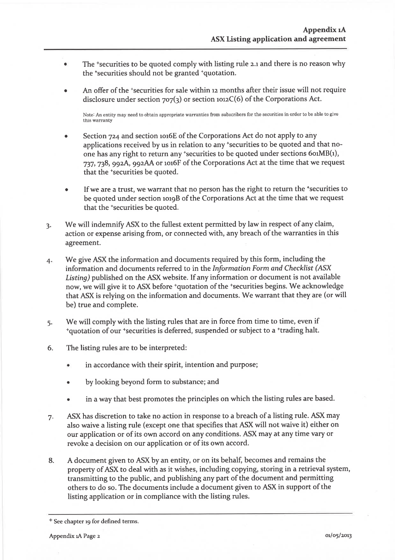- The 'securities to be quoted comply with listing rule 2.1 and there is no reason why  $\ddot{\bullet}$ the 'securities should not be granted 'quotation.
- An offer of the \*securities for sale within 12 months after their issue will not require disclosure under section  $707(3)$  or section  $1012C(6)$  of the Corporations Act.

Note: An entity may need to obtain appropriate warranties from subscribers for the securities in order to be able to give this warranty

- Section 724 and section 1016E of the Corporations Act do not apply to any applications received by us in relation to any 'securities to be quoted and that noone has any right to return any 'securities to be quoted under sections  $601MB(1)$ , 737, 738, 992A, 992AA or 1016F of the Corporations Act at the time that we request that the 'securities be quoted.
- If we are a trust, we warrant that no person has the right to return the 'securities to  $\bullet$ be quoted under section 1019B of the Corporations Act at the time that we request that the 'securities be quoted.
- We will indemnify ASX to the fullest extent permitted by law in respect of any claim,  $\overline{3}$ action or expense arising from, or connected with, any breach of the warranties in this agreement.
- We give ASX the information and documents required by this form, including the  $4.$ information and documents referred to in the Information Form and Checklist (ASX Listing) published on the ASX website. If any information or document is not available now, we will give it to ASX before \*quotation of the \*securities begins. We acknowledge that ASX is relying on the information and documents. We warrant that they are (or will be) true and complete.
- We will comply with the listing rules that are in force from time to time, even if  $5.$ \*quotation of our \*securities is deferred, suspended or subject to a \*trading halt.
- The listing rules are to be interpreted: 6.
	- in accordance with their spirit, intention and purpose;  $\bullet$
	- by looking beyond form to substance; and
	- in a way that best promotes the principles on which the listing rules are based.
- ASX has discretion to take no action in response to a breach of a listing rule. ASX may 7. also waive a listing rule (except one that specifies that ASX will not waive it) either on our application or of its own accord on any conditions. ASX may at any time vary or revoke a decision on our application or of its own accord.
- A document given to ASX by an entity, or on its behalf, becomes and remains the 8. property of ASX to deal with as it wishes, including copying, storing in a retrieval system, transmitting to the public, and publishing any part of the document and permitting others to do so. The documents include a document given to ASX in support of the listing application or in compliance with the listing rules.

<sup>&</sup>lt;sup>+</sup> See chapter 19 for defined terms.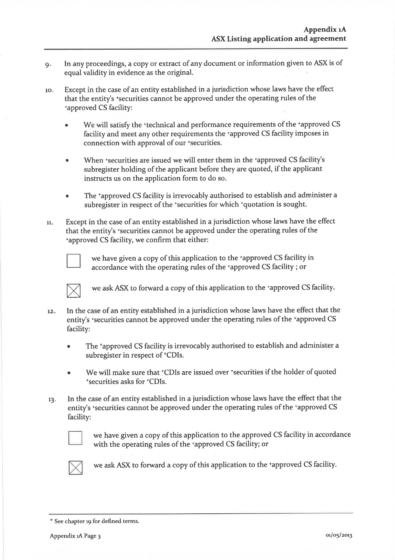- In any proceedings, a copy or extract of any document or information given to ASX is of  $Q_i$ equal validity in evidence as the original.
- Except in the case of an entity established in a jurisdiction whose laws have the effect  $10<sub>i</sub>$ that the entity's \*securities cannot be approved under the operating rules of the *'approved CS facility:* 
	- We will satisfy the <sup>+</sup>technical and performance requirements of the <sup>+</sup>approved CS facility and meet any other requirements the +approved CS facility imposes in connection with approval of our +securities.
	- When \*securities are issued we will enter them in the \*approved CS facility's subregister holding of the applicant before they are quoted, if the applicant instructs us on the application form to do so.
	- The 'approved CS facility is irrevocably authorised to establish and administer a subregister in respect of the 'securities for which 'quotation is sought.
- Except in the case of an entity established in a jurisdiction whose laws have the effect 11. that the entity's 'securities cannot be approved under the operating rules of the tapproved CS facility, we confirm that either:



we have given a copy of this application to the +approved CS facility in accordance with the operating rules of the +approved CS facility; or



we ask ASX to forward a copy of this application to the +approved CS facility.

- In the case of an entity established in a jurisdiction whose laws have the effect that the  $12.$ entity's \*securities cannot be approved under the operating rules of the \*approved CS facility:
	- The 'approved CS facility is irrevocably authorised to establish and administer a subregister in respect of <sup>+</sup>CDIs.
	- We will make sure that 'CDIs are issued over 'securities if the holder of quoted \*securities asks for \*CDIs.
- In the case of an entity established in a jurisdiction whose laws have the effect that the  $13:$ entity's \*securities cannot be approved under the operating rules of the \*approved CS facility:



we have given a copy of this application to the approved CS facility in accordance with the operating rules of the 'approved CS facility; or



we ask ASX to forward a copy of this application to the tapproved CS facility.

<sup>&</sup>lt;sup>+</sup> See chapter 19 for defined terms.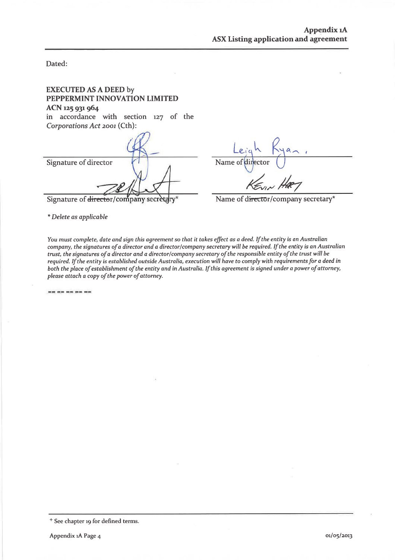Dated:

| <b>EXECUTED AS A DEED by</b><br>PEPPERMINT INNOVATION LIMITED<br>ACN 125 931 964<br>in accordance with section 127 of the<br>Corporations Act 2001 (Cth): |                                     |
|-----------------------------------------------------------------------------------------------------------------------------------------------------------|-------------------------------------|
|                                                                                                                                                           | Leic                                |
| Signature of director                                                                                                                                     | Name of director                    |
| Signature of director/company secretary*                                                                                                                  | Name of director/company secretary* |
| * Delete as applicable                                                                                                                                    |                                     |

You must complete, date and sign this agreement so that it takes effect as a deed. If the entity is an Australian company, the signatures of a director and a director/company secretary will be required. If the entity is an Australian trust, the signatures of a director and a director/company secretary of the responsible entity of the trust will be required. If the entity is established outside Australia, execution will have to comply with requirements for a deed in both the place of establishment of the entity and in Australia. If this agreement is signed under a power of attorney, please attach a copy of the power of attorney.

 $\equiv \equiv \equiv \equiv \equiv \equiv \equiv \equiv \equiv$ 

<sup>&</sup>lt;sup>+</sup> See chapter 19 for defined terms.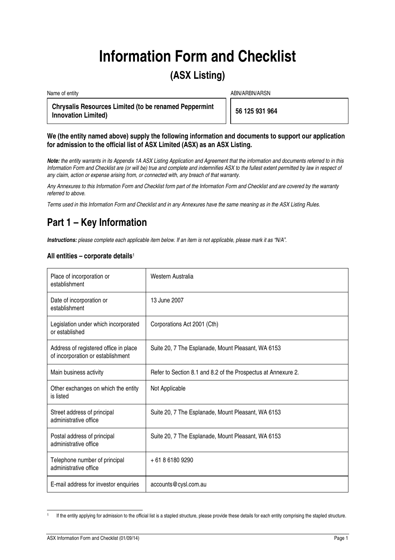# **Information Form and Checklist**

## **(ASX Listing)**

Name of entity ABN/ARBN/ARSN

**Chrysalis Resources Limited (to be renamed Peppermint Innovation Limited) 56 125 931 964** 

#### **We (the entity named above) supply the following information and documents to support our application for admission to the official list of ASX Limited (ASX) as an ASX Listing.**

**Note:** the entity warrants in its Appendix 1A ASX Listing Application and Agreement that the information and documents referred to in this Information Form and Checklist are (or will be) true and complete and indemnifies ASX to the fullest extent permitted by law in respect of any claim, action or expense arising from, or connected with, any breach of that warranty.

Any Annexures to this Information Form and Checklist form part of the Information Form and Checklist and are covered by the warranty referred to above.

Terms used in this Information Form and Checklist and in any Annexures have the same meaning as in the ASX Listing Rules.

# **Part 1 – Key Information**

**Instructions:** please complete each applicable item below. If an item is not applicable, please mark it as "N/A".

#### **All entities – corporate details**<sup>1</sup>

| Place of incorporation or<br>establishment                                 | Western Australia                                             |
|----------------------------------------------------------------------------|---------------------------------------------------------------|
| Date of incorporation or<br>establishment                                  | 13 June 2007                                                  |
| Legislation under which incorporated<br>or established                     | Corporations Act 2001 (Cth)                                   |
| Address of registered office in place<br>of incorporation or establishment | Suite 20, 7 The Esplanade, Mount Pleasant, WA 6153            |
| Main business activity                                                     | Refer to Section 8.1 and 8.2 of the Prospectus at Annexure 2. |
| Other exchanges on which the entity<br>is listed                           | Not Applicable                                                |
| Street address of principal<br>administrative office                       | Suite 20, 7 The Esplanade, Mount Pleasant, WA 6153            |
| Postal address of principal<br>administrative office                       | Suite 20, 7 The Esplanade, Mount Pleasant, WA 6153            |
| Telephone number of principal<br>administrative office                     | +61861809290                                                  |
| E-mail address for investor enquiries                                      | accounts@cysl.com.au                                          |

 $\overline{a}$ 1 If the entity applying for admission to the official list is a stapled structure, please provide these details for each entity comprising the stapled structure.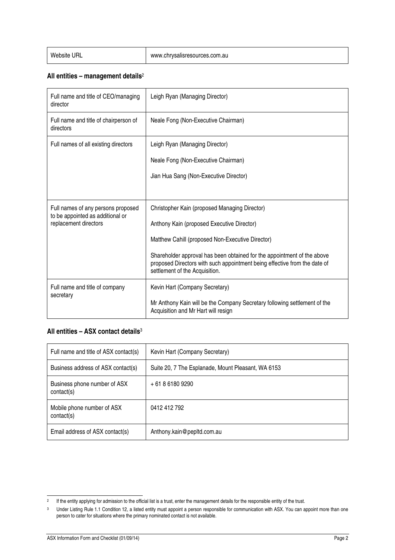#### **All entities – management details**<sup>2</sup>

| Full name and title of CEO/managing<br>director           | Leigh Ryan (Managing Director)                                                                                                                                                         |
|-----------------------------------------------------------|----------------------------------------------------------------------------------------------------------------------------------------------------------------------------------------|
| Full name and title of chairperson of<br>directors        | Neale Fong (Non-Executive Chairman)                                                                                                                                                    |
| Full names of all existing directors                      | Leigh Ryan (Managing Director)                                                                                                                                                         |
|                                                           | Neale Fong (Non-Executive Chairman)                                                                                                                                                    |
|                                                           | Jian Hua Sang (Non-Executive Director)                                                                                                                                                 |
|                                                           |                                                                                                                                                                                        |
| Full names of any persons proposed                        | Christopher Kain (proposed Managing Director)                                                                                                                                          |
| to be appointed as additional or<br>replacement directors | Anthony Kain (proposed Executive Director)                                                                                                                                             |
|                                                           | Matthew Cahill (proposed Non-Executive Director)                                                                                                                                       |
|                                                           | Shareholder approval has been obtained for the appointment of the above<br>proposed Directors with such appointment being effective from the date of<br>settlement of the Acquisition. |
| Full name and title of company                            | Kevin Hart (Company Secretary)                                                                                                                                                         |
| secretary                                                 | Mr Anthony Kain will be the Company Secretary following settlement of the<br>Acquisition and Mr Hart will resign                                                                       |

#### **All entities – ASX contact details**<sup>3</sup>

| Full name and title of ASX contact(s)      | Kevin Hart (Company Secretary)                     |
|--------------------------------------------|----------------------------------------------------|
| Business address of ASX contact(s)         | Suite 20, 7 The Esplanade, Mount Pleasant, WA 6153 |
| Business phone number of ASX<br>contact(s) | $+61861809290$                                     |
| Mobile phone number of ASX<br>contact(s)   | 0412 412 792                                       |
| Email address of ASX contact(s)            | Anthony.kain@pepltd.com.au                         |

 2 If the entity applying for admission to the official list is a trust, enter the management details for the responsible entity of the trust.

<sup>3</sup> Under Listing Rule 1.1 Condition 12, a listed entity must appoint a person responsible for communication with ASX. You can appoint more than one person to cater for situations where the primary nominated contact is not available.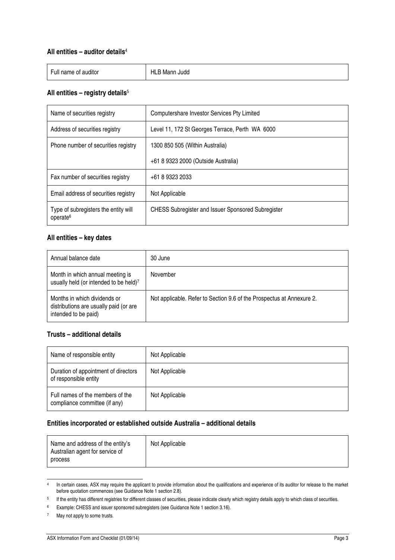#### **All entities – auditor details**<sup>4</sup>

| -<br>$\cdots$<br>∙ull<br>auditor<br>name of | HLL<br>Judd<br>Mann |
|---------------------------------------------|---------------------|
|---------------------------------------------|---------------------|

#### **All entities – registry details**<sup>5</sup>

| Name of securities registry                                  | Computershare Investor Services Pty Limited               |
|--------------------------------------------------------------|-----------------------------------------------------------|
| Address of securities registry                               | Level 11, 172 St Georges Terrace, Perth WA 6000           |
| Phone number of securities registry                          | 1300 850 505 (Within Australia)                           |
|                                                              | +61 8 9323 2000 (Outside Australia)                       |
| Fax number of securities registry                            | +61 8 9323 2033                                           |
| Email address of securities registry                         | Not Applicable                                            |
| Type of subregisters the entity will<br>operate <sup>6</sup> | <b>CHESS Subregister and Issuer Sponsored Subregister</b> |

#### **All entities – key dates**

| Annual balance date                                                                            | 30 June                                                               |
|------------------------------------------------------------------------------------------------|-----------------------------------------------------------------------|
| Month in which annual meeting is<br>usually held (or intended to be held)7                     | November                                                              |
| Months in which dividends or<br>distributions are usually paid (or are<br>intended to be paid) | Not applicable. Refer to Section 9.6 of the Prospectus at Annexure 2. |

#### **Trusts – additional details**

| Name of responsible entity                                        | Not Applicable |
|-------------------------------------------------------------------|----------------|
| Duration of appointment of directors<br>of responsible entity     | Not Applicable |
| Full names of the members of the<br>compliance committee (if any) | Not Applicable |

#### **Entities incorporated or established outside Australia – additional details**

| Name and address of the entity's<br>Australian agent for service of<br>process | Not Applicable |
|--------------------------------------------------------------------------------|----------------|
|--------------------------------------------------------------------------------|----------------|

ــ<br>4 In certain cases, ASX may require the applicant to provide information about the qualifications and experience of its auditor for release to the market before quotation commences (see Guidance Note 1 section 2.8).

<sup>&</sup>lt;sup>5</sup> If the entity has different registries for different classes of securities, please indicate clearly which registry details apply to which class of securities.

<sup>&</sup>lt;sup>6</sup> Example: CHESS and issuer sponsored subregisters (see Guidance Note 1 section 3.16).

<sup>7</sup> May not apply to some trusts.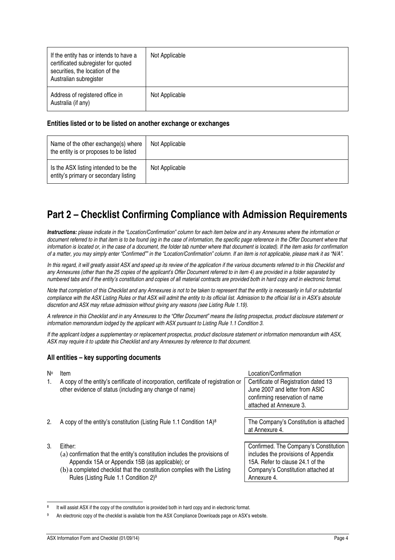| If the entity has or intends to have a<br>certificated subregister for quoted<br>securities, the location of the<br>Australian subregister | Not Applicable |
|--------------------------------------------------------------------------------------------------------------------------------------------|----------------|
| Address of registered office in<br>Australia (if any)                                                                                      | Not Applicable |

#### **Entities listed or to be listed on another exchange or exchanges**

| Name of the other exchange(s) where<br>the entity is or proposes to be listed  | Not Applicable |
|--------------------------------------------------------------------------------|----------------|
| Is the ASX listing intended to be the<br>entity's primary or secondary listing | Not Applicable |

## **Part 2 – Checklist Confirming Compliance with Admission Requirements**

**Instructions:** please indicate in the "Location/Confirmation" column for each item below and in any Annexures where the information or document referred to in that item is to be found (eg in the case of information, the specific page reference in the Offer Document where that information is located or, in the case of a document, the folder tab number where that document is located). If the item asks for confirmation of a matter, you may simply enter "Confirmed"" in the "Location/Confirmation" column. If an item is not applicable, please mark it as "N/A".

In this regard, it will greatly assist ASX and speed up its review of the application if the various documents referred to in this Checklist and any Annexures (other than the 25 copies of the applicant's Offer Document referred to in item 4) are provided in a folder separated by numbered tabs and if the entity's constitution and copies of all material contracts are provided both in hard copy and in electronic format.

Note that completion of this Checklist and any Annexures is not to be taken to represent that the entity is necessarily in full or substantial compliance with the ASX Listing Rules or that ASX will admit the entity to its official list. Admission to the official list is in ASX's absolute discretion and ASX may refuse admission without giving any reasons (see Listing Rule 1.19).

A reference in this Checklist and in any Annexures to the "Offer Document" means the listing prospectus, product disclosure statement or information memorandum lodged by the applicant with ASX pursuant to Listing Rule 1.1 Condition 3.

If the applicant lodges a supplementary or replacement prospectus, product disclosure statement or information memorandum with ASX, ASX may require it to update this Checklist and any Annexures by reference to that document.

#### **All entities – key supporting documents**

| N۰ | Item                                                                                | Location/Confirmation                  |
|----|-------------------------------------------------------------------------------------|----------------------------------------|
| 1. | A copy of the entity's certificate of incorporation, certificate of registration or | Certificate of Registration dated 13   |
|    | other evidence of status (including any change of name)                             | June 2007 and letter from ASIC         |
|    |                                                                                     | confirming reservation of name         |
|    |                                                                                     | attached at Annexure 3.                |
|    |                                                                                     |                                        |
| 2. | A copy of the entity's constitution (Listing Rule 1.1 Condition 1A) <sup>8</sup>    | The Company's Constitution is attached |
|    |                                                                                     | at Annexure 4.                         |
|    |                                                                                     |                                        |
| 3. | Either:                                                                             | Confirmed. The Company's Constitution  |
|    | (a) confirmation that the entity's constitution includes the provisions of          | includes the provisions of Appendix    |
|    | Appendix 15A or Appendix 15B (as applicable); or                                    | 15A. Refer to clause 24.1 of the       |
|    | (b) a completed checklist that the constitution complies with the Listing           | Company's Constitution attached at     |
|    | Rules (Listing Rule 1.1 Condition 2) <sup>9</sup>                                   | Annexure 4.                            |

<sup>8</sup> It will assist ASX if the copy of the constitution is provided both in hard copy and in electronic format.

 $\overline{a}$ 

<sup>9</sup> An electronic copy of the checklist is available from the ASX Compliance Downloads page on ASX's website.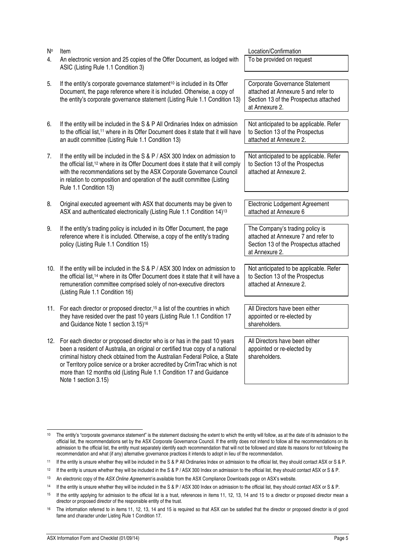| N٥  | Item                                                                                                                                                                                                                                                                                                                                                                                                 | Location/Confirmation                                                                                                             |
|-----|------------------------------------------------------------------------------------------------------------------------------------------------------------------------------------------------------------------------------------------------------------------------------------------------------------------------------------------------------------------------------------------------------|-----------------------------------------------------------------------------------------------------------------------------------|
| 4.  | An electronic version and 25 copies of the Offer Document, as lodged with<br>ASIC (Listing Rule 1.1 Condition 3)                                                                                                                                                                                                                                                                                     | To be provided on request                                                                                                         |
| 5.  | If the entity's corporate governance statement <sup>10</sup> is included in its Offer<br>Document, the page reference where it is included. Otherwise, a copy of<br>the entity's corporate governance statement (Listing Rule 1.1 Condition 13)                                                                                                                                                      | Corporate Governance Statement<br>attached at Annexure 5 and refer to<br>Section 13 of the Prospectus attached<br>at Annexure 2.  |
| 6.  | If the entity will be included in the S & P All Ordinaries Index on admission<br>to the official list, <sup>11</sup> where in its Offer Document does it state that it will have<br>an audit committee (Listing Rule 1.1 Condition 13)                                                                                                                                                               | Not anticipated to be applicable. Refer<br>to Section 13 of the Prospectus<br>attached at Annexure 2.                             |
| 7.  | If the entity will be included in the S & P / ASX 300 Index on admission to<br>the official list, <sup>12</sup> where in its Offer Document does it state that it will comply<br>with the recommendations set by the ASX Corporate Governance Council<br>in relation to composition and operation of the audit committee (Listing<br>Rule 1.1 Condition 13)                                          | Not anticipated to be applicable. Refer<br>to Section 13 of the Prospectus<br>attached at Annexure 2.                             |
| 8.  | Original executed agreement with ASX that documents may be given to<br>ASX and authenticated electronically (Listing Rule 1.1 Condition 14) <sup>13</sup>                                                                                                                                                                                                                                            | Electronic Lodgement Agreement<br>attached at Annexure 6                                                                          |
| 9.  | If the entity's trading policy is included in its Offer Document, the page<br>reference where it is included. Otherwise, a copy of the entity's trading<br>policy (Listing Rule 1.1 Condition 15)                                                                                                                                                                                                    | The Company's trading policy is<br>attached at Annexure 7 and refer to<br>Section 13 of the Prospectus attached<br>at Annexure 2. |
| 10. | If the entity will be included in the S & P / ASX 300 Index on admission to<br>the official list, <sup>14</sup> where in its Offer Document does it state that it will have a<br>remuneration committee comprised solely of non-executive directors<br>(Listing Rule 1.1 Condition 16)                                                                                                               | Not anticipated to be applicable. Refer<br>to Section 13 of the Prospectus<br>attached at Annexure 2.                             |
|     | 11. For each director or proposed director, <sup>15</sup> a list of the countries in which<br>they have resided over the past 10 years (Listing Rule 1.1 Condition 17<br>and Guidance Note 1 section 3.15) <sup>16</sup>                                                                                                                                                                             | All Directors have been either<br>appointed or re-elected by<br>shareholders.                                                     |
|     | 12. For each director or proposed director who is or has in the past 10 years<br>been a resident of Australia, an original or certified true copy of a national<br>criminal history check obtained from the Australian Federal Police, a State<br>or Territory police service or a broker accredited by CrimTrac which is not<br>more than 12 months old (Listing Rule 1.1 Condition 17 and Guidance | All Directors have been either<br>appointed or re-elected by<br>shareholders.                                                     |

Note 1 section 3.15)

 $10$ The entity's "corporate governance statement" is the statement disclosing the extent to which the entity will follow, as at the date of its admission to the official list, the recommendations set by the ASX Corporate Governance Council. If the entity does not intend to follow all the recommendations on its admission to the official list, the entity must separately identify each recommendation that will not be followed and state its reasons for not following the recommendation and what (if any) alternative governance practices it intends to adopt in lieu of the recommendation.

<sup>11</sup> If the entity is unsure whether they will be included in the S & P All Ordinaries Index on admission to the official list, they should contact ASX or S & P.

<sup>&</sup>lt;sup>12</sup> If the entity is unsure whether they will be included in the S & P / ASX 300 Index on admission to the official list, they should contact ASX or S & P.

<sup>&</sup>lt;sup>13</sup> An electronic copy of the ASX Online Agreement is available from the ASX Compliance Downloads page on ASX's website.

<sup>14</sup> If the entity is unsure whether they will be included in the S & P / ASX 300 Index on admission to the official list, they should contact ASX or S & P.

<sup>15</sup> If the entity applying for admission to the official list is a trust, references in items 11, 12, 13, 14 and 15 to a director or proposed director mean a director or proposed director of the responsible entity of the trust.

<sup>&</sup>lt;sup>16</sup> The information referred to in items 11, 12, 13, 14 and 15 is required so that ASX can be satisfied that the director or proposed director is of good fame and character under Listing Rule 1 Condition 17.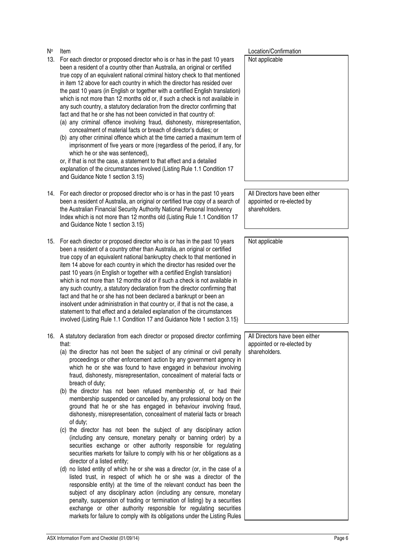- N<sub>o</sub> Item
- 13. For each director or proposed director who is or has in the past 10 years been a resident of a country other than Australia, an original or certified true copy of an equivalent national criminal history check to that mentioned in item 12 above for each country in which the director has resided over the past 10 years (in English or together with a certified English translation) which is not more than 12 months old or, if such a check is not available in any such country, a statutory declaration from the director confirming that fact and that he or she has not been convicted in that country of:
	- (a) any criminal offence involving fraud, dishonesty, misrepresentation, concealment of material facts or breach of director's duties; or
	- (b) any other criminal offence which at the time carried a maximum term of imprisonment of five years or more (regardless of the period, if any, for which he or she was sentenced),

or, if that is not the case, a statement to that effect and a detailed explanation of the circumstances involved (Listing Rule 1.1 Condition 17 and Guidance Note 1 section 3.15)

- 14. For each director or proposed director who is or has in the past 10 years been a resident of Australia, an original or certified true copy of a search of the Australian Financial Security Authority National Personal Insolvency Index which is not more than 12 months old (Listing Rule 1.1 Condition 17 and Guidance Note 1 section 3.15)
- 15. For each director or proposed director who is or has in the past 10 years been a resident of a country other than Australia, an original or certified true copy of an equivalent national bankruptcy check to that mentioned in item 14 above for each country in which the director has resided over the past 10 years (in English or together with a certified English translation) which is not more than 12 months old or if such a check is not available in any such country, a statutory declaration from the director confirming that fact and that he or she has not been declared a bankrupt or been an insolvent under administration in that country or, if that is not the case, a statement to that effect and a detailed explanation of the circumstances involved (Listing Rule 1.1 Condition 17 and Guidance Note 1 section 3.15)
- 16. A statutory declaration from each director or proposed director confirming that:
	- (a) the director has not been the subject of any criminal or civil penalty proceedings or other enforcement action by any government agency in which he or she was found to have engaged in behaviour involving fraud, dishonesty, misrepresentation, concealment of material facts or breach of duty;
	- (b) the director has not been refused membership of, or had their membership suspended or cancelled by, any professional body on the ground that he or she has engaged in behaviour involving fraud, dishonesty, misrepresentation, concealment of material facts or breach of duty;
	- (c) the director has not been the subject of any disciplinary action (including any censure, monetary penalty or banning order) by a securities exchange or other authority responsible for regulating securities markets for failure to comply with his or her obligations as a director of a listed entity;
	- (d) no listed entity of which he or she was a director (or, in the case of a listed trust, in respect of which he or she was a director of the responsible entity) at the time of the relevant conduct has been the subject of any disciplinary action (including any censure, monetary penalty, suspension of trading or termination of listing) by a securities exchange or other authority responsible for regulating securities markets for failure to comply with its obligations under the Listing Rules

Location/Confirmation

Not applicable

All Directors have been either appointed or re-elected by shareholders.

Not applicable

All Directors have been either appointed or re-elected by shareholders.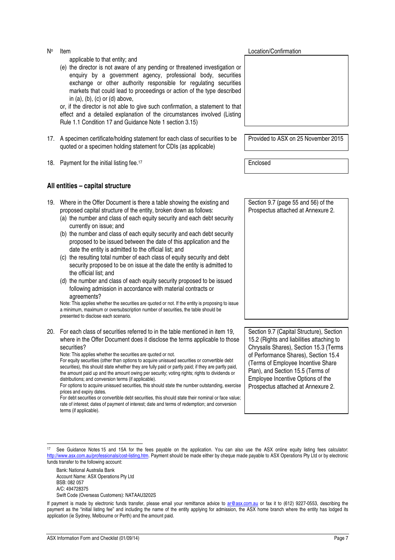applicable to that entity; and

(e) the director is not aware of any pending or threatened investigation or enquiry by a government agency, professional body, securities exchange or other authority responsible for regulating securities markets that could lead to proceedings or action of the type described in  $(a)$ ,  $(b)$ ,  $(c)$  or  $(d)$  above,

or, if the director is not able to give such confirmation, a statement to that effect and a detailed explanation of the circumstances involved (Listing Rule 1.1 Condition 17 and Guidance Note 1 section 3.15)

- 17. A specimen certificate/holding statement for each class of securities to be quoted or a specimen holding statement for CDIs (as applicable)
- 18. Payment for the initial listing fee.<sup>17</sup> enclosed



Provided to ASX on 25 November 2015

#### **All entities – capital structure**

- 19. Where in the Offer Document is there a table showing the existing and proposed capital structure of the entity, broken down as follows:
	- (a) the number and class of each equity security and each debt security currently on issue; and
	- (b) the number and class of each equity security and each debt security proposed to be issued between the date of this application and the date the entity is admitted to the official list; and
	- (c) the resulting total number of each class of equity security and debt security proposed to be on issue at the date the entity is admitted to the official list; and
	- (d) the number and class of each equity security proposed to be issued following admission in accordance with material contracts or agreements?

Note: This applies whether the securities are quoted or not. If the entity is proposing to issue a minimum, maximum or oversubscription number of securities, the table should be presented to disclose each scenario.

20. For each class of securities referred to in the table mentioned in item 19, where in the Offer Document does it disclose the terms applicable to those securities?

Note: This applies whether the securities are quoted or not.

| For equity securities (other than options to acquire unissued securities or convertible debt        |  |  |  |  |  |  |
|-----------------------------------------------------------------------------------------------------|--|--|--|--|--|--|
| securities), this should state whether they are fully paid or partly paid; if they are partly paid, |  |  |  |  |  |  |
| the amount paid up and the amount owing per security; voting rights; rights to dividends or         |  |  |  |  |  |  |
| distributions; and conversion terms (if applicable).                                                |  |  |  |  |  |  |
|                                                                                                     |  |  |  |  |  |  |

For options to acquire unissued securities, this should state the number outstanding, exercise prices and expiry dates.

For debt securities or convertible debt securities, this should state their nominal or face value; rate of interest; dates of payment of interest; date and terms of redemption; and conversion terms (if applicable).

Section 9.7 (page 55 and 56) of the Prospectus attached at Annexure 2.

Section 9.7 (Capital Structure), Section 15.2 (Rights and liabilities attaching to Chrysalis Shares), Section 15.3 (Terms of Performance Shares), Section 15.4 (Terms of Employee Incentive Share Plan), and Section 15.5 (Terms of Employee Incentive Options of the Prospectus attached at Annexure 2.

j

<sup>17</sup> See Guidance Notes 15 and 15A for the fees payable on the application. You can also use the ASX online equity listing fees calculator: http://www.asx.com.au/professionals/cost-listing.htm. Payment should be made either by cheque made payable to ASX Operations Pty Ltd or by electronic funds transfer to the following account:

Bank: National Australia Bank Account Name: ASX Operations Pty Ltd BSB: 082 057 A/C: 494728375

Swift Code (Overseas Customers): NATAAU3202S

If payment is made by electronic funds transfer, please email your remittance advice to ar@asx.com.au or fax it to (612) 9227-0553, describing the payment as the "initial listing fee" and including the name of the entity applying for admission, the ASX home branch where the entity has lodged its application (ie Sydney, Melbourne or Perth) and the amount paid.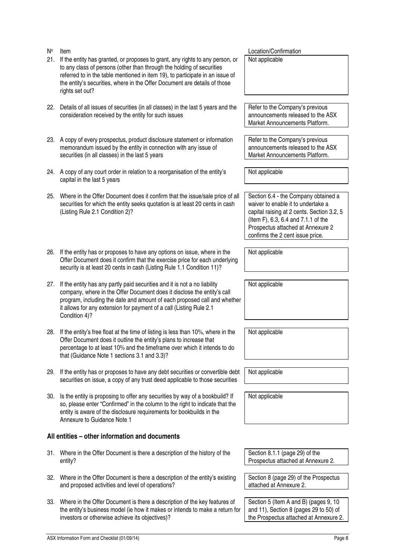- 21. If the entity has granted, or proposes to grant, any rights to any person, or to any class of persons (other than through the holding of securities referred to in the table mentioned in item 19), to participate in an issue of the entity's securities, where in the Offer Document are details of those rights set out? Not applicable 22. Details of all issues of securities (in all classes) in the last 5 years and the consideration received by the entity for such issues Refer to the Company's previous Market Announcements Platform. 23. A copy of every prospectus, product disclosure statement or information memorandum issued by the entity in connection with any issue of securities (in all classes) in the last 5 years Refer to the Company's previous Market Announcements Platform. 24. A copy of any court order in relation to a reorganisation of the entity's capital in the last 5 years Not applicable 25. Where in the Offer Document does it confirm that the issue/sale price of all securities for which the entity seeks quotation is at least 20 cents in cash (Listing Rule 2.1 Condition 2)? waiver to enable it to undertake a (Item F), 6.3, 6.4 and 7.1.1 of the Prospectus attached at Annexure 2 confirms the 2 cent issue price. 26. If the entity has or proposes to have any options on issue, where in the Offer Document does it confirm that the exercise price for each underlying security is at least 20 cents in cash (Listing Rule 1.1 Condition 11)? Not applicable 27. If the entity has any partly paid securities and it is not a no liability company, where in the Offer Document does it disclose the entity's call program, including the date and amount of each proposed call and whether it allows for any extension for payment of a call (Listing Rule 2.1 Condition 4)? Not applicable 28. If the entity's free float at the time of listing is less than 10%, where in the Offer Document does it outline the entity's plans to increase that percentage to at least 10% and the timeframe over which it intends to do that (Guidance Note 1 sections 3.1 and 3.3)? Not applicable 29. If the entity has or proposes to have any debt securities or convertible debt securities on issue, a copy of any trust deed applicable to those securities Not applicable 30. Is the entity is proposing to offer any securities by way of a bookbuild? If so, please enter "Confirmed" in the column to the right to indicate that the entity is aware of the disclosure requirements for bookbuilds in the Annexure to Guidance Note 1 Not applicable **All entities – other information and documents**  Section 8.1.1 (page 29) of the Prospectus attached at Annexure 2. attached at Annexure 2.
- 33. Where in the Offer Document is there a description of the key features of the entity's business model (ie how it makes or intends to make a return for

Section 8 (page 29) of the Prospectus

Section 5 (Item A and B) (pages 9, 10 and 11), Section 8 (pages 29 to 50) of the Prospectus attached at Annexure 2.

announcements released to the ASX

Location/Confirmation

announcements released to the ASX

Section 6.4 - the Company obtained a capital raising at 2 cents. Section 3.2, 5

- 31. Where in the Offer Document is there a description of the history of the entity?
- 32. Where in the Offer Document is there a description of the entity's existing and proposed activities and level of operations?

N<sub>o</sub> Item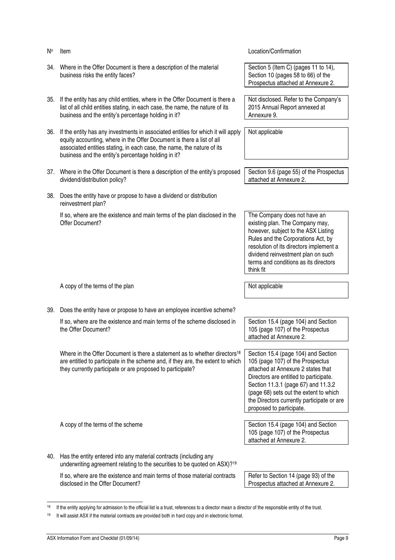| N۰  | Item                                                                                                                                                                                                                                                                                       | Location/Confirmation                                                                                                                                                                                                                                                                                              |
|-----|--------------------------------------------------------------------------------------------------------------------------------------------------------------------------------------------------------------------------------------------------------------------------------------------|--------------------------------------------------------------------------------------------------------------------------------------------------------------------------------------------------------------------------------------------------------------------------------------------------------------------|
| 34. | Where in the Offer Document is there a description of the material<br>business risks the entity faces?                                                                                                                                                                                     | Section 5 (Item C) (pages 11 to 14),<br>Section 10 (pages 58 to 66) of the<br>Prospectus attached at Annexure 2.                                                                                                                                                                                                   |
| 35. | If the entity has any child entities, where in the Offer Document is there a<br>list of all child entities stating, in each case, the name, the nature of its<br>business and the entity's percentage holding in it?                                                                       | Not disclosed. Refer to the Company's<br>2015 Annual Report annexed at<br>Annexure 9.                                                                                                                                                                                                                              |
| 36. | If the entity has any investments in associated entities for which it will apply<br>equity accounting, where in the Offer Document is there a list of all<br>associated entities stating, in each case, the name, the nature of its<br>business and the entity's percentage holding in it? | Not applicable                                                                                                                                                                                                                                                                                                     |
|     | 37. Where in the Offer Document is there a description of the entity's proposed<br>dividend/distribution policy?                                                                                                                                                                           | Section 9.6 (page 55) of the Prospectus<br>attached at Annexure 2.                                                                                                                                                                                                                                                 |
|     | 38. Does the entity have or propose to have a dividend or distribution<br>reinvestment plan?                                                                                                                                                                                               |                                                                                                                                                                                                                                                                                                                    |
|     | If so, where are the existence and main terms of the plan disclosed in the<br>Offer Document?                                                                                                                                                                                              | The Company does not have an<br>existing plan. The Company may,<br>however, subject to the ASX Listing<br>Rules and the Corporations Act, by<br>resolution of its directors implement a<br>dividend reinvestment plan on such<br>terms and conditions as its directors<br>think fit                                |
|     | A copy of the terms of the plan                                                                                                                                                                                                                                                            | Not applicable                                                                                                                                                                                                                                                                                                     |
|     |                                                                                                                                                                                                                                                                                            |                                                                                                                                                                                                                                                                                                                    |
| 39. | Does the entity have or propose to have an employee incentive scheme?                                                                                                                                                                                                                      |                                                                                                                                                                                                                                                                                                                    |
|     | If so, where are the existence and main terms of the scheme disclosed in<br>the Offer Document?                                                                                                                                                                                            | Section 15.4 (page 104) and Section<br>105 (page 107) of the Prospectus<br>attached at Annexure 2.                                                                                                                                                                                                                 |
|     | Where in the Offer Document is there a statement as to whether directors <sup>18</sup><br>are entitled to participate in the scheme and, if they are, the extent to which<br>they currently participate or are proposed to participate?                                                    | Section 15.4 (page 104) and Section<br>105 (page 107) of the Prospectus<br>attached at Annexure 2 states that<br>Directors are entitled to participate.<br>Section 11.3.1 (page 67) and 11.3.2<br>(page 68) sets out the extent to which<br>the Directors currently participate or are<br>proposed to participate. |
|     | A copy of the terms of the scheme                                                                                                                                                                                                                                                          | Section 15.4 (page 104) and Section                                                                                                                                                                                                                                                                                |
|     |                                                                                                                                                                                                                                                                                            | 105 (page 107) of the Prospectus<br>attached at Annexure 2.                                                                                                                                                                                                                                                        |
|     | 40. Has the entity entered into any material contracts (including any<br>underwriting agreement relating to the securities to be quoted on ASX)? <sup>19</sup>                                                                                                                             |                                                                                                                                                                                                                                                                                                                    |
|     | If so, where are the existence and main terms of those material contracts<br>disclosed in the Offer Document?                                                                                                                                                                              | Refer to Section 14 (page 93) of the<br>Prospectus attached at Annexure 2.                                                                                                                                                                                                                                         |

 $\overline{a}$ <sup>18</sup> If the entity applying for admission to the official list is a trust, references to a director mean a director of the responsible entity of the trust.

<sup>19</sup> It will assist ASX if the material contracts are provided both in hard copy and in electronic format.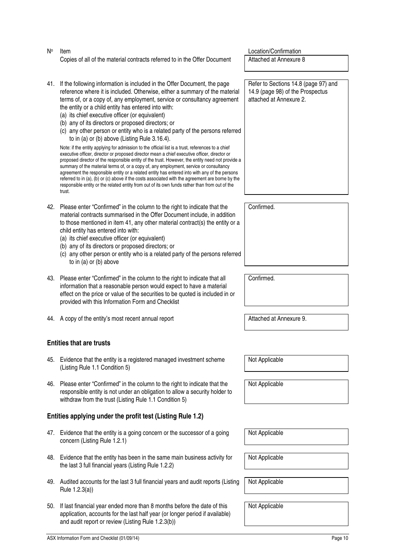#### No **Item** Location/Confirmation Copies of all of the material contracts referred to in the Offer Document Attached at Annexure 8

- 41. If the following information is included in the Offer Document, the page reference where it is included. Otherwise, either a summary of the material terms of, or a copy of, any employment, service or consultancy agreement the entity or a child entity has entered into with:
	- (a) its chief executive officer (or equivalent)
	- (b) any of its directors or proposed directors; or
	- (c) any other person or entity who is a related party of the persons referred to in (a) or (b) above (Listing Rule 3.16.4).

Note: if the entity applying for admission to the official list is a trust, references to a chief executive officer, director or proposed director mean a chief executive officer, director or proposed director of the responsible entity of the trust. However, the entity need not provide a summary of the material terms of, or a copy of, any employment, service or consultancy agreement the responsible entity or a related entity has entered into with any of the persons referred to in (a), (b) or (c) above if the costs associated with the agreement are borne by the responsible entity or the related entity from out of its own funds rather than from out of the trust.

- 42. Please enter "Confirmed" in the column to the right to indicate that the material contracts summarised in the Offer Document include, in addition to those mentioned in item 41, any other material contract(s) the entity or a child entity has entered into with:
	- (a) its chief executive officer (or equivalent)
	- (b) any of its directors or proposed directors; or
	- (c) any other person or entity who is a related party of the persons referred to in (a) or (b) above
- 43. Please enter "Confirmed" in the column to the right to indicate that all information that a reasonable person would expect to have a material effect on the price or value of the securities to be quoted is included in or provided with this Information Form and Checklist
- 44. A copy of the entity's most recent annual report **Attached at Annexure 9.**

### **Entities that are trusts**

- 45. Evidence that the entity is a registered managed investment scheme (Listing Rule 1.1 Condition 5)
- 46. Please enter "Confirmed" in the column to the right to indicate that the responsible entity is not under an obligation to allow a security holder to withdraw from the trust (Listing Rule 1.1 Condition 5)

### **Entities applying under the profit test (Listing Rule 1.2)**

- 47. Evidence that the entity is a going concern or the successor of a going concern (Listing Rule 1.2.1)
- 48. Evidence that the entity has been in the same main business activity for the last 3 full financial years (Listing Rule 1.2.2)
- 49. Audited accounts for the last 3 full financial years and audit reports (Listing Rule 1.2.3(a))
- 50. If last financial year ended more than 8 months before the date of this application, accounts for the last half year (or longer period if available) and audit report or review (Listing Rule 1.2.3(b))

Refer to Sections 14.8 (page 97) and 14.9 (page 98) of the Prospectus attached at Annexure 2.

Confirmed.

Confirmed.

Not Applicable

Not Applicable

Not Applicable

Not Applicable

Not Applicable

Not Applicable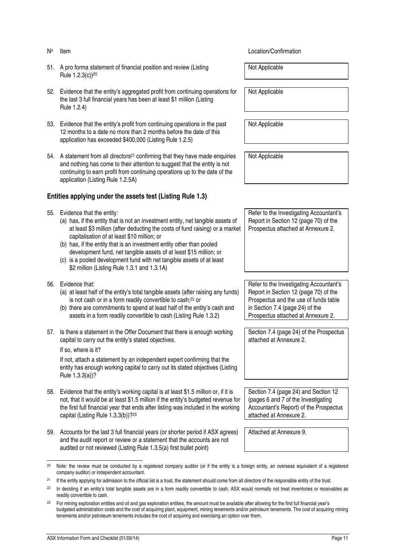- 51. A pro forma statement of financial position and review (Listing Rule 1.2.3(c))<sup>20</sup>
- 52. Evidence that the entity's aggregated profit from continuing operations for the last 3 full financial years has been at least \$1 million (Listing Rule 1.2.4)
- 53. Evidence that the entity's profit from continuing operations in the past 12 months to a date no more than 2 months before the date of this application has exceeded \$400,000 (Listing Rule 1.2.5)
- 54. A statement from all directors<sup>21</sup> confirming that they have made enquiries and nothing has come to their attention to suggest that the entity is not continuing to earn profit from continuing operations up to the date of the application (Listing Rule 1.2.5A)

#### **Entities applying under the assets test (Listing Rule 1.3)**

- 55. Evidence that the entity:
	- (a) has, if the entity that is not an investment entity, net tangible assets of at least \$3 million (after deducting the costs of fund raising) or a market capitalisation of at least \$10 million; or
	- (b) has, if the entity that is an investment entity other than pooled development fund, net tangible assets of at least \$15 million; or
	- (c) is a pooled development fund with net tangible assets of at least \$2 million (Listing Rule 1.3.1 and 1.3.1A)
- 56. Evidence that:
	- (a) at least half of the entity's total tangible assets (after raising any funds) is not cash or in a form readily convertible to cash;<sup>22</sup> or
	- (b) there are commitments to spend at least half of the entity's cash and assets in a form readily convertible to cash (Listing Rule 1.3.2)
- 57. Is there a statement in the Offer Document that there is enough working capital to carry out the entity's stated objectives.

If so, where is it?

j

If not, attach a statement by an independent expert confirming that the entity has enough working capital to carry out its stated objectives (Listing Rule 1.3.3(a))?

- 58. Evidence that the entity's working capital is at least \$1.5 million or, if it is not, that it would be at least \$1.5 million if the entity's budgeted revenue for the first full financial year that ends after listing was included in the working capital (Listing Rule 1.3.3(b))?<sup>23</sup>
- 59. Accounts for the last 3 full financial years (or shorter period if ASX agrees) and the audit report or review or a statement that the accounts are not audited or not reviewed (Listing Rule 1.3.5(a) first bullet point)

**If the Location Confirmation Internation Confirmation** 

Not Applicable

Not Applicable

Not Applicable

Not Applicable

Refer to the Investigating Accountant's Report in Section 12 (page 70) of the Prospectus attached at Annexure 2.

Refer to the Investigating Accountant's Report in Section 12 (page 70) of the Prospectus and the use of funds table in Section 7.4 (page 24) of the Prospectus attached at Annexure 2.

Section 7.4 (page 24) of the Prospectus attached at Annexure 2.

Section 7.4 (page 24) and Section 12 (pages 6 and 7 of the Investigating Accountant's Report) of the Prospectus attached at Annexure 2.

Attached at Annexure 9.

 $^{20}$  Note: the review must be conducted by a registered company auditor (or if the entity is a foreign entity, an overseas equivalent of a registered company auditor) or independent accountant.

<sup>&</sup>lt;sup>21</sup> If the entity applying for admission to the official list is a trust, the statement should come from all directors of the responsible entity of the trust.

<sup>&</sup>lt;sup>22</sup> In deciding if an entity's total tangible assets are in a form readily convertible to cash, ASX would normally not treat inventories or receivables as readily convertible to cash.

<sup>&</sup>lt;sup>23</sup> For mining exploration entities and oil and gas exploration entities, the amount must be available after allowing for the first full financial year's budgeted administration costs and the cost of acquiring plant, equipment, mining tenements and/or petroleum tenements. The cost of acquiring mining tenements and/or petroleum tenements includes the cost of acquiring and exercising an option over them.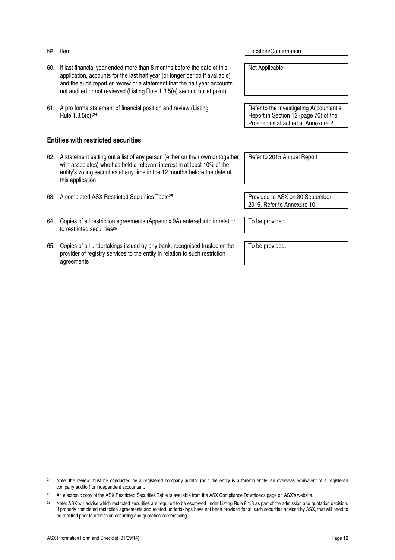- 60. If last financial year ended more than 8 months before the date of this application, accounts for the last half year (or longer period if available) and the audit report or review or a statement that the half year accounts not audited or not reviewed (Listing Rule 1.3.5(a) second bullet point)
- 61. A pro forma statement of financial position and review (Listing Rule 1.3.5(c))<sup>24</sup>

#### **Entities with restricted securities**

- 62. A statement setting out a list of any person (either on their own or together with associates) who has held a relevant interest in at least 10% of the entity's voting securities at any time in the 12 months before the date of this application
- 63. A completed ASX Restricted Securities Table<sup>25</sup> Provided to ASX on 30 September
- 64. Copies of all restriction agreements (Appendix 9A) entered into in relation to restricted securities<sup>26</sup>
- 65. Copies of all undertakings issued by any bank, recognised trustee or the provider of registry services to the entity in relation to such restriction agreements

**Item** Location/Confirmation

Not Applicable

Refer to the Investigating Accountant's Report in Section 12 (page 70) of the Prospectus attached at Annexure 2

Refer to 2015 Annual Report

2015. Refer to Annexure 10.

To be provided.

To be provided.

j <sup>24</sup> Note: the review must be conducted by a registered company auditor (or if the entity is a foreign entity, an overseas equivalent of a registered company auditor) or independent accountant.

<sup>&</sup>lt;sup>25</sup> An electronic copy of the ASX Restricted Securities Table is available from the ASX Compliance Downloads page on ASX's website.

<sup>26</sup> Note: ASX will advise which restricted securities are required to be escrowed under Listing Rule 9.1.3 as part of the admission and quotation decision. If properly completed restriction agreements and related undertakings have not been provided for all such securities advised by ASX, that will need to be rectified prior to admission occurring and quotation commencing.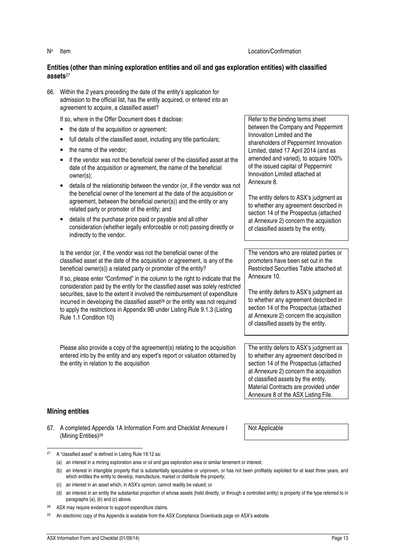#### **Entities (other than mining exploration entities and oil and gas exploration entities) with classified assets**<sup>27</sup>

66. Within the 2 years preceding the date of the entity's application for admission to the official list, has the entity acquired, or entered into an agreement to acquire, a classified asset?

If so, where in the Offer Document does it disclose:

- the date of the acquisition or agreement;
- full details of the classified asset, including any title particulars;
- the name of the vendor:
- if the vendor was not the beneficial owner of the classified asset at the date of the acquisition or agreement, the name of the beneficial owner(s);
- details of the relationship between the vendor (or, if the vendor was not the beneficial owner of the tenement at the date of the acquisition or agreement, between the beneficial owner(s)) and the entity or any related party or promoter of the entity; and
- details of the purchase price paid or payable and all other consideration (whether legally enforceable or not) passing directly or indirectly to the vendor.

Is the vendor (or, if the vendor was not the beneficial owner of the classified asset at the date of the acquisition or agreement, is any of the beneficial owner(s)) a related party or promoter of the entity?

If so, please enter "Confirmed" in the column to the right to indicate that the consideration paid by the entity for the classified asset was solely restricted securities, save to the extent it involved the reimbursement of expenditure incurred in developing the classified asset<sup>28</sup> or the entity was not required to apply the restrictions in Appendix 9B under Listing Rule 9.1.3 (Listing Rule 1.1 Condition 10)

Please also provide a copy of the agreement(s) relating to the acquisition entered into by the entity and any expert's report or valuation obtained by the entity in relation to the acquisition

Refer to the binding terms sheet between the Company and Peppermint Innovation Limited and the shareholders of Peppermint Innovation Limited, dated 17 April 2014 (and as amended and varied), to acquire 100% of the issued capital of Peppermint Innovation Limited attached at Annexure 8.

The entity defers to ASX's judgment as to whether any agreement described in section 14 of the Prospectus (attached at Annexure 2) concern the acquisition of classified assets by the entity.

The vendors who are related parties or promoters have been set out in the Restricted Securities Table attached at Annexure 10.

The entity defers to ASX's judgment as to whether any agreement described in section 14 of the Prospectus (attached at Annexure 2) concern the acquisition of classified assets by the entity.

The entity defers to ASX's judgment as to whether any agreement described in section 14 of the Prospectus (attached at Annexure 2) concern the acquisition of classified assets by the entity. Material Contracts are provided under Annexure 8 of the ASX Listing File.

#### **Mining entities**

67. A completed Appendix 1A Information Form and Checklist Annexure I (Mining Entities)<sup>29</sup>

Not Applicable

j <sup>27</sup> A "classified asset" is defined in Listing Rule 19.12 as:

<sup>(</sup>a) an interest in a mining exploration area or oil and gas exploration area or similar tenement or interest;

<sup>(</sup>b) an interest in intangible property that is substantially speculative or unproven, or has not been profitably exploited for at least three years, and which entitles the entity to develop, manufacture, market or distribute the property;

<sup>(</sup>c) an interest in an asset which, in ASX's opinion, cannot readily be valued; or

<sup>(</sup>d) an interest in an entity the substantial proportion of whose assets (held directly, or through a controlled entity) is property of the type referred to in paragraphs (a), (b) and (c) above.

<sup>28</sup> ASX may require evidence to support expenditure claims.

An electronic copy of this Appendix is available from the ASX Compliance Downloads page on ASX's website.